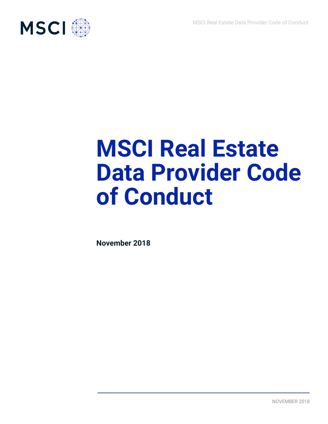

# **MSCI Real Estate Data Provider Code of Conduct**

**November 2018**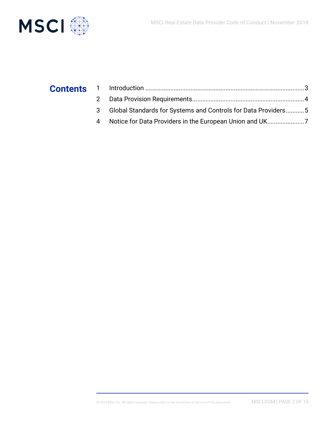

## **Contents**

| 3 Global Standards for Systems and Controls for Data Providers5 |  |
|-----------------------------------------------------------------|--|
|                                                                 |  |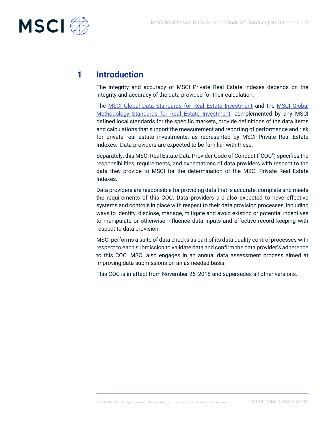

## **1 Introduction**

The integrity and accuracy of MSCI Private Real Estate Indexes depends on the integrity and accuracy of the data provided for their calculation.

The [MSCI Global Data Standards for Real Estate Investment](https://www.msci.com/documents/1296102/1672393/MSCI+Global+Data+Standards+for+Real+Estate+Investment.pdf/9d7f744c-a7b1-45ab-a224-55e9f6809b17) and the [MSCI Global](https://www.msci.com/documents/1296102/1672393/MSCI+Global+Methodology+Standards+for+Real+Estate+Investment.pdf/e5a263f1-e79c-4cfe-b8de-532e87f9a639)  [Methodology Standards for Real Estate Investment,](https://www.msci.com/documents/1296102/1672393/MSCI+Global+Methodology+Standards+for+Real+Estate+Investment.pdf/e5a263f1-e79c-4cfe-b8de-532e87f9a639) complemented by any MSCI defined local standards for the specific markets, provide definitions of the data items and calculations that support the measurement and reporting of performance and risk for private real estate investments, as represented by MSCI Private Real Estate Indexes. Data providers are expected to be familiar with these.

Separately, this MSCI Real Estate Data Provider Code of Conduct ("COC") specifies the responsibilities, requirements, and expectations of data providers with respect to the data they provide to MSCI for the determination of the MSCI Private Real Estate Indexes.

Data providers are responsible for providing data that is accurate, complete and meets the requirements of this COC. Data providers are also expected to have effective systems and controls in place with respect to their data provision processes, including ways to identify, disclose, manage, mitigate and avoid existing or potential incentives to manipulate or otherwise influence data inputs and effective record keeping with respect to data provision.

MSCI performs a suite of data checks as part of its data quality control processes with respect to each submission to validate data and confirm the data provider's adherence to this COC. MSCI also engages in an annual data assessment process aimed at improving data submissions on an as needed basis.

This COC is in effect from November 26, 2018 and supersedes all other versions.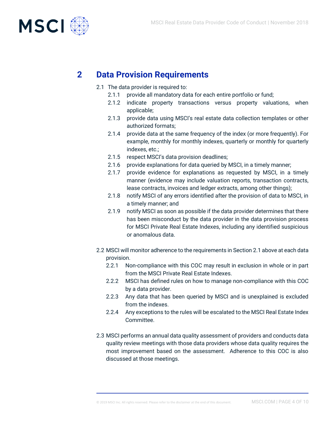

### **2 Data Provision Requirements**

- 2.1 The data provider is required to:
	- 2.1.1 provide all mandatory data for each entire portfolio or fund;
	- 2.1.2 indicate property transactions versus property valuations, when applicable;
	- 2.1.3 provide data using MSCI's real estate data collection templates or other authorized formats;
	- 2.1.4 provide data at the same frequency of the index (or more frequently). For example, monthly for monthly indexes, quarterly or monthly for quarterly indexes, etc.;
	- 2.1.5 respect MSCI's data provision deadlines;
	- 2.1.6 provide explanations for data queried by MSCI, in a timely manner;
	- 2.1.7 provide evidence for explanations as requested by MSCI, in a timely manner (evidence may include valuation reports, transaction contracts, lease contracts, invoices and ledger extracts, among other things);
	- 2.1.8 notify MSCI of any errors identified after the provision of data to MSCI, in a timely manner; and
	- 2.1.9 notify MSCI as soon as possible if the data provider determines that there has been misconduct by the data provider in the data provision process for MSCI Private Real Estate Indexes, including any identified suspicious or anomalous data.
- 2.2 MSCI will monitor adherence to the requirements in Section 2.1 above at each data provision.
	- 2.2.1 Non-compliance with this COC may result in exclusion in whole or in part from the MSCI Private Real Estate Indexes.
	- 2.2.2 MSCI has defined rules on how to manage non-compliance with this COC by a data provider.
	- 2.2.3 Any data that has been queried by MSCI and is unexplained is excluded from the indexes.
	- 2.2.4 Any exceptions to the rules will be escalated to the MSCI Real Estate Index Committee.
- 2.3 MSCI performs an annual data quality assessment of providers and conducts data quality review meetings with those data providers whose data quality requires the most improvement based on the assessment. Adherence to this COC is also discussed at those meetings.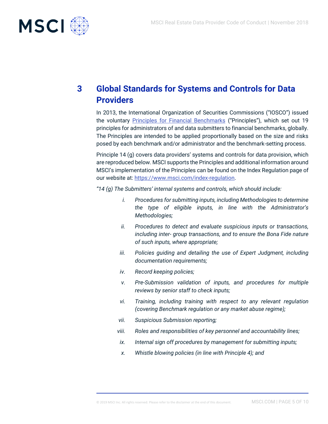

## **3 Global Standards for Systems and Controls for Data Providers**

In 2013, the International Organization of Securities Commissions ("IOSCO") issued the voluntary **Principles for Financial Benchmarks** ("Principles"), which set out 19 principles for administrators of and data submitters to financial benchmarks, globally. The Principles are intended to be applied proportionally based on the size and risks posed by each benchmark and/or administrator and the benchmark-setting process.

Principle 14 (g) covers data providers' systems and controls for data provision, which are reproduced below. MSCI supports the Principles and additional information around MSCI's implementation of the Principles can be found on the Index Regulation page of our website at: [https://www.msci.com/index-regulation.](https://www.msci.com/index-regulation)

*"14 (g) The Submitters' internal systems and controls, which should include:*

- *i. Procedures for submitting inputs, including Methodologies to determine the type of eligible inputs, in line with the Administrator's Methodologies;*
- *ii. Procedures to detect and evaluate suspicious inputs or transactions, including inter- group transactions, and to ensure the Bona Fide nature of such inputs, where appropriate;*
- *iii. Policies guiding and detailing the use of Expert Judgment, including documentation requirements;*
- *iv. Record keeping policies;*
- *v. Pre-Submission validation of inputs, and procedures for multiple reviews by senior staff to check inputs;*
- *vi. Training, including training with respect to any relevant regulation (covering Benchmark regulation or any market abuse regime);*
- *vii. Suspicious Submission reporting;*
- *viii. Roles and responsibilities of key personnel and accountability lines;*
- *ix. Internal sign off procedures by management for submitting inputs;*
- *x. Whistle blowing policies (in line with Principle 4); and*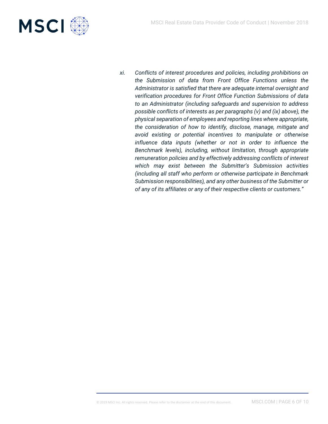

*xi. Conflicts of interest procedures and policies, including prohibitions on the Submission of data from Front Office Functions unless the Administrator is satisfied that there are adequate internal oversight and verification procedures for Front Office Function Submissions of data to an Administrator (including safeguards and supervision to address possible conflicts of interests as per paragraphs (v) and (ix) above), the physical separation of employees and reporting lines where appropriate, the consideration of how to identify, disclose, manage, mitigate and avoid existing or potential incentives to manipulate or otherwise influence data inputs (whether or not in order to influence the Benchmark levels), including, without limitation, through appropriate remuneration policies and by effectively addressing conflicts of interest which may exist between the Submitter's Submission activities (including all staff who perform or otherwise participate in Benchmark Submission responsibilities), and any other business of the Submitter or of any of its affiliates or any of their respective clients or customers."*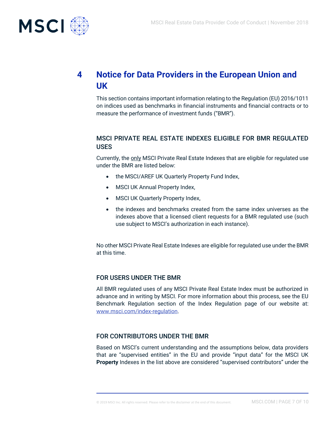

## **4 Notice for Data Providers in the European Union and UK**

This section contains important information relating to the Regulation (EU) 2016/1011 on indices used as benchmarks in financial instruments and financial contracts or to measure the performance of investment funds ("BMR").

#### MSCI PRIVATE REAL ESTATE INDEXES ELIGIBLE FOR BMR REGULATED USES

Currently, the only MSCI Private Real Estate Indexes that are eligible for regulated use under the BMR are listed below:

- the MSCI/AREF UK Quarterly Property Fund Index,
- MSCI UK Annual Property Index,
- MSCI UK Quarterly Property Index,
- the indexes and benchmarks created from the same index universes as the indexes above that a licensed client requests for a BMR regulated use (such use subject to MSCI's authorization in each instance).

No other MSCI Private Real Estate Indexes are eligible for regulated use under the BMR at this time.

#### FOR USERS UNDER THE BMR

All BMR regulated uses of any MSCI Private Real Estate Index must be authorized in advance and in writing by MSCI. For more information about this process, see the EU Benchmark Regulation section of the Index Regulation page of our website at: [www.msci.com/index-regulation.](http://www.msci.com/index-regulation)

#### FOR CONTRIBUTORS UNDER THE BMR

Based on MSCI's current understanding and the assumptions below, data providers that are "supervised entities" in the EU and provide "input data" for the MSCI UK **Property** Indexes in the list above are considered "supervised contributors" under the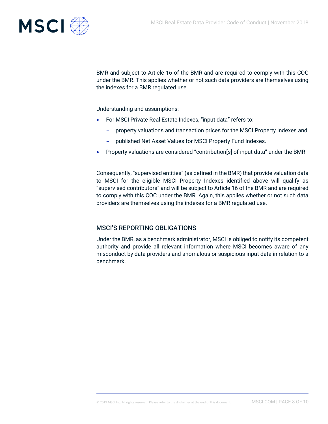

BMR and subject to Article 16 of the BMR and are required to comply with this COC under the BMR. This applies whether or not such data providers are themselves using the indexes for a BMR regulated use.

Understanding and assumptions:

- For MSCI Private Real Estate Indexes, "input data" refers to:
	- property valuations and transaction prices for the MSCI Property Indexes and
	- published Net Asset Values for MSCI Property Fund Indexes.
- Property valuations are considered "contribution[s] of input data" under the BMR

Consequently, "supervised entities" (as defined in the BMR) that provide valuation data to MSCI for the eligible MSCI Property Indexes identified above will qualify as "supervised contributors" and will be subject to Article 16 of the BMR and are required to comply with this COC under the BMR. Again, this applies whether or not such data providers are themselves using the indexes for a BMR regulated use.

#### MSCI'S REPORTING OBLIGATIONS

Under the BMR, as a benchmark administrator, MSCI is obliged to notify its competent authority and provide all relevant information where MSCI becomes aware of any misconduct by data providers and anomalous or suspicious input data in relation to a benchmark.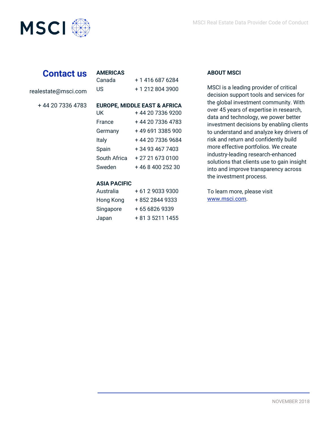



## **Contact us**

realestate@msci.com

+ 44 20 7336 4783

| US                                                        | + 1 212 804 3900                                                                                                                                             |
|-----------------------------------------------------------|--------------------------------------------------------------------------------------------------------------------------------------------------------------|
| UK<br>France<br>Germany<br>Italy<br>Spain<br>South Africa | <b>EUROPE, MIDDLE EAST &amp; AFRICA</b><br>+44 20 7336 9200<br>+ 44 20 7336 4783<br>+49 691 3385 900<br>+44 20 7336 9684<br>+ 34 93 467 7403<br>+27216730100 |
| Sweden                                                    | + 46 8 400 252 30                                                                                                                                            |

Canada + 1 416 687 6284

#### **ASIA PACIFIC**

**AMERICAS**

| Australia | +61290339300     |
|-----------|------------------|
| Hong Kong | +852 2844 9333   |
| Singapore | +6568269339      |
| Japan     | + 81 3 5211 1455 |

#### **ABOUT MSCI**

MSCI is a leading provider of critical decision support tools and services for the global investment community. With over 45 years of expertise in research, data and technology, we power better investment decisions by enabling clients to understand and analyze key drivers of risk and return and confidently build more effective portfolios. We create industry-leading research-enhanced solutions that clients use to gain insight into and improve transparency across the investment process.

To learn more, please visit www.msci.com.